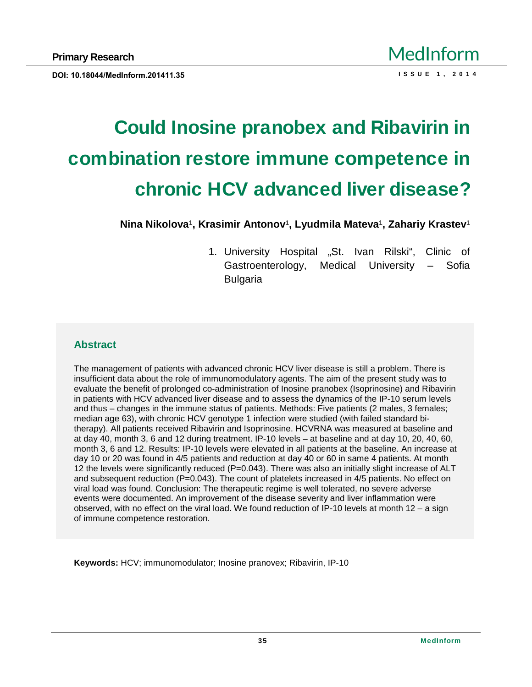# Could Inosine pranobex and Ribavirin in combination restore immune competence in chronic HCV advanced liver disease?

Nina Nikolova € Krasimir Antonov € Lyudmila Mateva € Zahariy Krastev €

1. University Hospital •St. Ivan Rilski,, Clinic of Gastroenterology, Medical University f Sofia Bulgaria

## **Abstract**

The management of patients with advanced chronic HCV liver disease is still a problem. There is insufficient data about the role of immunomodulatory agents. The aim of the present study was to evaluate the benefit of prolonged co-administration of Inosine pranobex (Isoprinosine) and Ribavirin in patients with HCV advanced liver disease and to assess the dynamics of the IP-10 serum levels and thus  $f$  changes in the immune status of patients. Methods: Five patients (2 males, 3 females; median age 63), with chronic HCV genotype 1 infection were studied (with failed standard bitherapy). All patients received Ribavirin and Isoprinosine. HCVRNA was measured at baseline and at day 40, month 3, 6 and 12 during treatment. IP-10 levels ƒ at baseline and at day 10, 20, 40, 60, month 3, 6 and 12. Results: IP-10 levels were elevated in all patients at the baseline. An increase at day 10 or 20 was found in 4/5 patients and reduction at day 40 or 60 in same 4 patients. At month 12 the levels were significantly reduced (P=0.043). There was also an initially slight increase of ALT and subsequent reduction (P=0.043). The count of platelets increased in 4/5 patients. No effect on viral load was found. Conclusion: The therapeutic regime is well tolerated, no severe adverse events were documented. An improvement of the disease severity and liver inflammation were observed, with no effect on the viral load. We found reduction of IP-10 levels at month 12  $f$  a sign of immune competence restoration.

Keywords: HCV; immunomodulator; Inosine pranovex; Ribavirin, IP-10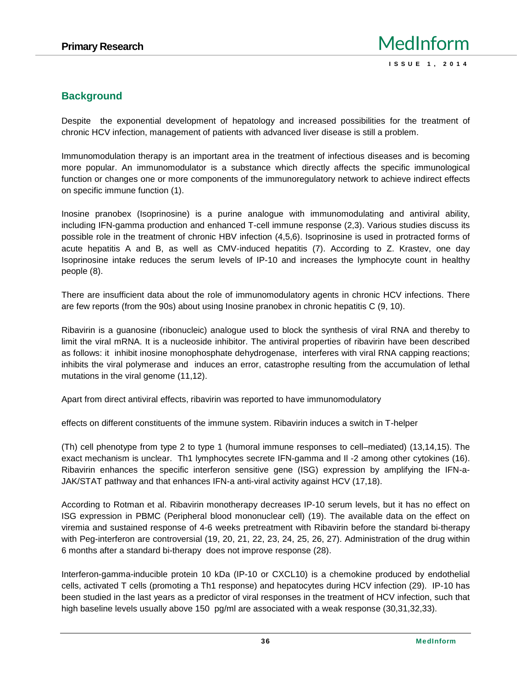# **Background**

Despite the exponential development of hepatology and increased possibilities for the treatment of chronic HCV infection, management of patients with advanced liver disease is still a problem.

Immunomodulation therapy is an important area in the treatment of infectious diseases and is becoming more popular. An immunomodulator is a substance which directly affects the specific immunological function or changes one or more components of the immunoregulatory network to achieve indirect effects on specific immune function (1).

Inosine pranobex (Isoprinosine) is a purine analogue with immunomodulating and antiviral ability, including IFN-gamma production and enhanced T-cell immune response (2,3). Various studies discuss its possible role in the treatment of chronic HBV infection (4,5,6). Isoprinosine is used in protracted forms of acute hepatitis A and B, as well as CMV-induced hepatitis (7). According to Z. Krastev, one day Isoprinosine intake reduces the serum levels of IP-10 and increases the lymphocyte count in healthy people (8).

There are insufficient data about the role of immunomodulatory agents in chronic HCV infections. There are few reports (from the 90s) about using Inosine pranobex in chronic hepatitis C (9, 10).

Ribavirin is a guanosine (ribonucleic) analogue used to block the synthesis of viral RNA and thereby to limit the viral mRNA. It is a nucleoside inhibitor. The antiviral properties of ribavirin have been described as follows: it inhibit inosine monophosphate dehydrogenase, interferes with viral RNA capping reactions; inhibits the viral polymerase and induces an error, catastrophe resulting from the accumulation of lethal mutations in the viral genome (11,12).

Apart from direct antiviral effects, ribavirin was reported to have immunomodulatory

effects on different constituents of the immune system. Ribavirin induces a switch in T-helper

(Th) cell phenotype from type 2 to type 1 (humoral immune responses to cell–mediated) (13,14,15). The exact mechanism is unclear. Th1 lymphocytes secrete IFN-gamma and Il -2 among other cytokines (16). Ribavirin enhances the specific interferon sensitive gene (ISG) expression by amplifying the IFN-a- JAK/STAT pathway and that enhances IFN-a anti-viral activity against HCV (17,18).

According to Rotman et al. Ribavirin monotherapy decreases IP-10 serum levels, but it has no effect on ISG expression in PBMC (Peripheral blood mononuclear cell) (19). The available data on the effect on viremia and sustained response of 4-6 weeks pretreatment with Ribavirin before the standard bi-therapy with Peg-interferon are controversial (19, 20, 21, 22, 23, 24, 25, 26, 27). Administration of the drug within 6 months after a standard bi-therapy does not improve response (28).

Interferon-gamma-inducible protein 10 kDa (IP-10 or CXCL10) is a chemokine produced by endothelial cells, activated T cells (promoting a Th1 response) and hepatocytes during HCV infection (29). IP-10 has been studied in the last years as a predictor of viral responses in the treatment of HCV infection, such that high baseline levels usually above 150 pg/ml are associated with a weak response (30,31,32,33).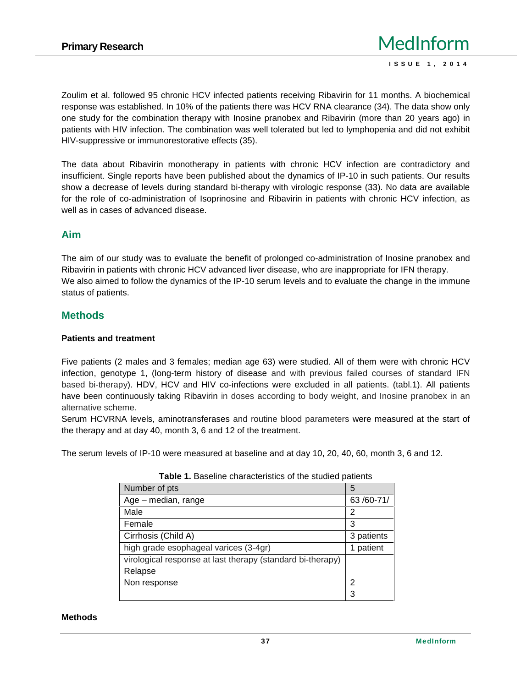Zoulim et al. followed 95 chronic HCV infected patients receiving Ribavirin for 11 months. A biochemical response was established. In 10% of the patients there was HCV RNA clearance (34). The data show only one study for the combination therapy with Inosine pranobex and Ribavirin (more than 20 years ago) in patients with HIV infection. The combination was well tolerated but led to lymphopenia and did not exhibit HIV-suppressive or immunorestorative effects (35).

The data about Ribavirin monotherapy in patients with chronic HCV infection are contradictory and insufficient. Single reports have been published about the dynamics of IP-10 in such patients. Our results show a decrease of levels during standard bi-therapy with virologic response (33). No data are available for the role of co-administration of Isoprinosine and Ribavirin in patients with chronic HCV infection, as well as in cases of advanced disease.

## **Aim**

The aim of our study was to evaluate the benefit of prolonged co-administration of Inosine pranobex and Ribavirin in patients with chronic HCV advanced liver disease, who are inappropriate for IFN therapy. We also aimed to follow the dynamics of the IP-10 serum levels and to evaluate the change in the immune status of patients.

## **Methods**

#### **Patients and treatment**

Five patients (2 males and 3 females; median age 63) were studied. All of them were with chronic HCV infection, genotype 1, (long-term history of disease and with previous failed courses of standard IFN based bi-therapy). HDV, HCV and HIV co-infections were excluded in all patients. (tabl.1). All patients have been continuously taking Ribavirin in doses according to body weight, and Inosine pranobex in an alternative scheme.

Serum HCVRNA levels, aminotransferases and routine blood parameters were measured at the start of the therapy and at day 40, month 3, 6 and 12 of the treatment.

The serum levels of IP-10 were measured at baseline and at day 10,20, 40, 60, month 3, 6 and 12.

| Number of pts                                              | 5          |  |
|------------------------------------------------------------|------------|--|
| Age - median, range                                        | 63/60-71/  |  |
| Male                                                       | 2          |  |
| Female                                                     | 3          |  |
| Cirrhosis (Child                                           | 3 patients |  |
| high grade esophageal varices (3-4gr)                      | 1 patient  |  |
| virological response at last therapy (standard bi-therapy) |            |  |
| Relapse                                                    |            |  |
| Non response                                               | 2          |  |
|                                                            | 3          |  |

**Table 1.** Baseline characteristics of the studied patients

#### **Methods**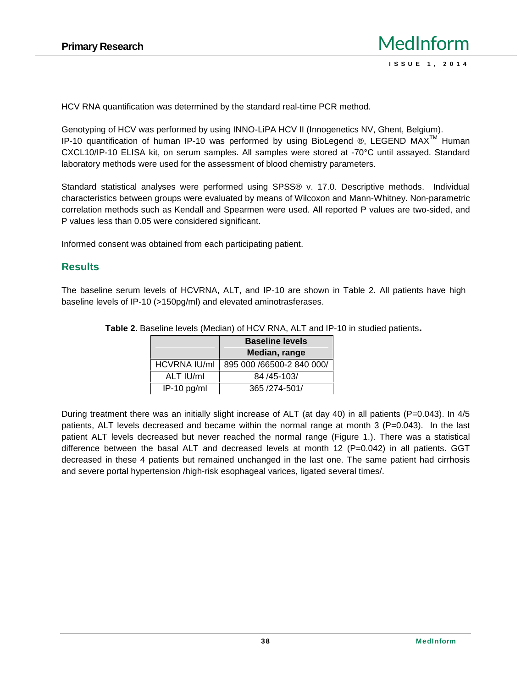HCV RNA quantification was determined by the standard real-time PCR method.

Genotyping of HCV was performed by using INNO-LiPA HCV II (Innogenetics NV, Ghent, Belgium). IP-10 quantification of human IP-10 was performed by using BioLegend  $\circledR$ , LEGEND MAX<sup>TM</sup> Human CXCL10/IP-10 ELISA kit, on serum samples. All samples were stored at -70°C until assayed. Standard laboratory methods were used for the assessment of blood chemistry parameters.

Standard statistical analyses were performed using SPSS® v. 17.0. Descriptive methods. Individual characteristics between groups were evaluated by means of Wilcoxon and Mann-Whitney. Non-parametric correlation methods such as Kendall and Spearmen were used. All reported P values are two-sided, and P values less than 0.05 were considered significant.

Informed consent was obtained from each participating patient.

#### **Results**

The baseline serum levels of HCVRNA, ALT, and IP-10 are shown in Table 2. All patients have high baseline levels of IP-10 (>150pg/ml) and elevated aminotrasferases.

|                     | <b>Baseline levels</b>    |  |
|---------------------|---------------------------|--|
|                     | Median, range             |  |
| <b>HCVRNA IU/ml</b> | 895 000 /66500-2 840 000/ |  |
| ALT IU/ml           | 84 / 45 - 103 /           |  |
| IP-10 pg/ml         | 365 / 274-501/            |  |

**Table 2.** Baseline levels (Median) of HCV RNA, ALT and IP-10 in studied patients**.**

During treatment there was an initially slight increase of ALT (at day 40) in all patients (P=0.043). In 4/5 patients, ALT levels decreased and became within the normal range at month 3 (P=0.043). In the last patient ALT levels decreased but never reached the normal range (Figure 1.). There was a statistical difference between the basal ALT and decreased levels at month 12  $(P=0.042)$  in all patients. GGT decreased in these 4 patients but remained unchanged in the last one. The same patient had cirrhosis and severe portal hypertension /high-risk esophageal varices, ligated several times/.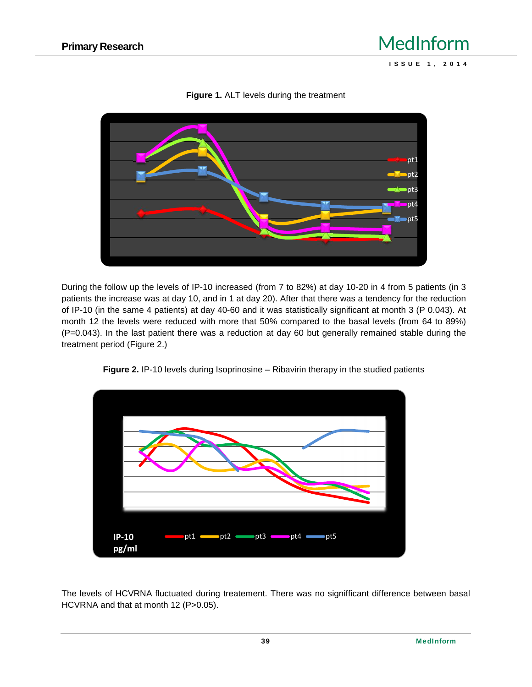

**Figure 1.** ALT levels during the treatment

During the follow up the levels of IP-10 increased (from 7 to 82%) at day 10-20 in 4 from 5 patients (in 3 patients the increase was at day 10, and in 1 at day 20). After that there was a tendency for the reduction of IP-10 (in the same 4 patients) at day 40-60 and it was statistically significant at month 3 (P 0.043). At month 12 the levels were reduced with more that 50% compared to the basal levels (from 64 to 89%) (P=0.043). In the last patient there was a reduction at day 60 but generally remained stable during the treatment period (Figure 2.)





The levels of HCVRNA fluctuated during treatement. There was no signifficant difference between basal HCVRNA and that at month 12 (P>0.05).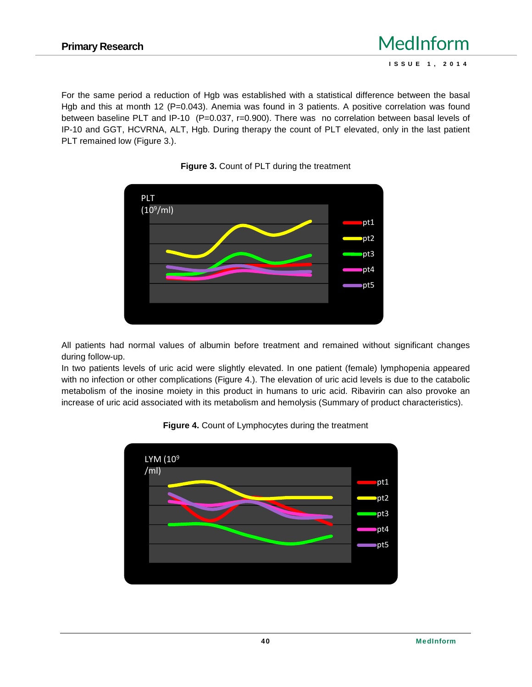For the same period a reduction of Hgb was established with a statistical difference between the basal Hgb and this at month 12 ( $=0.043$ ). Anemia was found in 3 patients. A positive correlation was found between baseline PLT and IP-10  $(=0.037, r=0.900)$ . There was no correlation between basal levels of IP-10 and GGT, HCVRNA, ALT, Hgb. During therapy the count of PLT elevated, only in the last patient PLT remained low (Figure 3.).





All patients had normal values of albumin before treatment and remained without significant changes during follow-up.

In two patients levels of uric acid were slightly elevated. In one patient (female) lymphopenia appeared with no infection or other complications (Figure 4.). The elevation of uric acid levels is due to the catabolic metabolism of the inosine moiety in this product in humans to uric acid. Ribavirin can also provoke an increase of uric acid associated with its metabolism and hemolysis (Summary of product characteristics).



#### **Figure 4.** Count of Lymphocytes during the treatment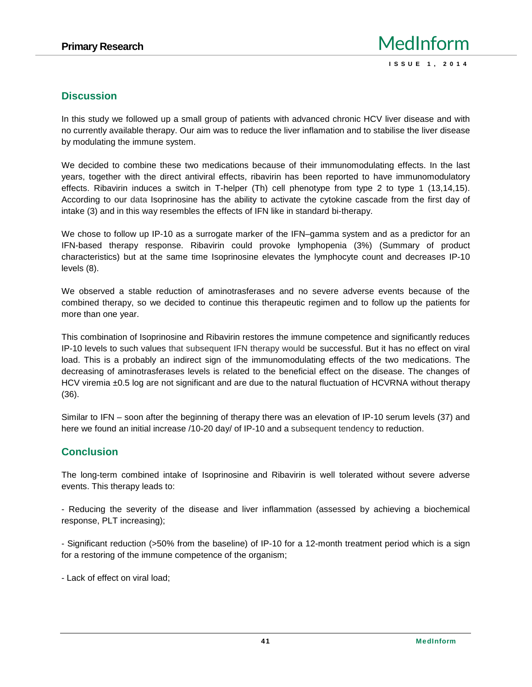# **Discussion**

In this study we followed up a small group of patients with advanced chronic HCV liver disease and with no currently available therapy. Our aim was to reduce the liver inflamation and to stabilise the liver disease by modulating the immune system.

We decided to combine these two medications because of their immunomodulating effects. In the last years, together with the direct antiviral effects, ribavirin has been reported to have immunomodulatory effects. Ribavirin induces a switch in T-helper (Th) cell phenotype from type 2 to type 1 (13,14,15). According to our data Isoprinosine has the ability to activate the cytokine cascade from the first day of intake (3) and in this way resembles the effects of IFN like in standard bi-therapy.

We chose to follow up IP-10 as a surrogate marker of the IFN–gamma system and as a predictor for an IFN-based therapy response. Ribavirin could provoke lymphopenia (3%) (Summary of product characteristics) but at the same time Isoprinosine elevates the lymphocyte count and decreases IP-10 levels (8).

We observed a stable reduction of aminotrasferases and no severe adverse events because of the combined therapy, so we decided to continue this therapeutic regimen and to follow up the patients for more than one year.

This combination of Isoprinosine and Ribavirin restores the immune competence and significantly reduces IP-10 levels to such values that subsequent IFN therapy would be successful. But it has no effect on viral load. This is a probably an indirect sign of the immunomodulating effects of the two medications. The decreasing of aminotrasferases levels is related to the beneficial effect on the disease. The changes of HCV viremia ±0.5 log are not significant and are due to the natural fluctuation of HCVRNA without therapy (36).

Similar to IFN – soon after the beginning of therapy there was an elevation of IP-10 serum levels (37) and here we found an initial increase /10-20 day/ of IP-10 and a subsequent tendency to reduction.

## **Conclusion**

The long-term combined intake of Isoprinosine and Ribavirin is well tolerated without severe adverse events. This therapy leads to:

- Reducing the severity of the disease and liver inflammation (assessed by achieving a biochemical response, PLT increasing);

- Significant reduction (>50% from the baseline) of IP-10 for a 12-month treatment period which is a sign for a restoring of the immune competence of the organism;

- Lack of effect on viral load;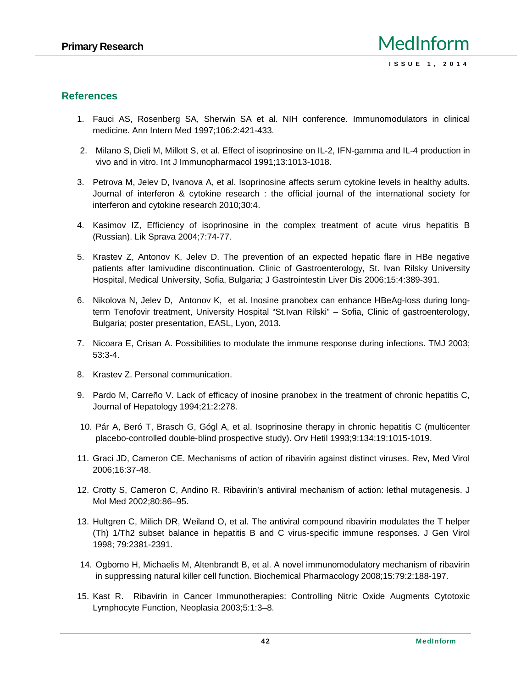## **References**

- 1. Fauci AS, Rosenberg SA, Sherwin SA et al. NIH conference. Immunomodulators in clinical medicine. Ann Intern Med 1997;106:2:421-433.
- 2. Milano S, Dieli M, Millott S, et al. Effect of isoprinosine on IL-2, IFN-gamma and IL-4 production in vivo and in vitro. Int J Immunopharmacol 1991;13:1013-1018.
- 3. Petrova M, Jelev D, Ivanova A, et al. Isoprinosine affects serum cytokine levels in healthy adults. Journal of interferon & cytokine research : the official journal of the international society for interferon and cytokine research 2010;30:4.
- 4. Kasimov IZ, Efficiency of isoprinosine in the complex treatment of acute virus hepatitis B (Russian). Lik Sprava 2004;7:74-77.
- 5. Krastev Z, Antonov K, Jelev D. The prevention of an expected hepatic flare in HBe negative patients after lamivudine discontinuation. Clinic of Gastroenterology, St. Ivan Rilsky University Hospital, Medical University, Sofia, Bulgaria; J Gastrointestin Liver Dis 2006;15:4:389-391.
- 6. Nikolova N, Jelev D, Antonov K, et al. Inosine pranobex can enhance HBeAg-loss during longterm Tenofovir treatment, University Hospital "St.Ivan Rilski" – Sofia, Clinic of gastroenterology, Bulgari; poster presentation, EASL, Lyon, 2013.
- 7. Nicoara, Crisan A. Possibilities to modulate the immune response during infections. TMJ 2003; 53:3-4.
- 8. Krastev Z. Personal communication.
- 9. Pardo M, Carreño V. Lack of efficacy of inosine pranobex in the treatment of chronic hepatitis C, Journal of Hepatology 1994;21:2:278.
- 10. Pár A, Beró T, Brasch G, Gógl A, et al. Isoprinosine therapy in chronic hepatitis C (multicenter placebo-controlled double-blind prospective study). Orv Hetil 1993;9:134:19:1015-1019.
- 11. Graci JD, Cameron CE. Mechanisms of action of ribavirin against distinct viruses. Rev, Med Virol 2006;16:37-48.
- 12. Crotty S, Cameron C, Andino R. Ribavirin's antiviral mechanism of action: lethal mutagenesis. J Mol Med 2002;80:86–95.
- 13. Hultgren C, Milich DR, Weiland O, et al. The antiviral compound ribavirin modulates the T helper (Th) 1/Th2 subset balance in hepatitis B and C virus-specific immune responses. J Gen Virol 1998; 79:2381-2391.
- 14. Ogbomo H, Michaelis M, Altenbrandt B, et al. A novel immunomodulatory mechanism of ribavirin in suppressing natural killer cell function. Biochemical Pharmacology 2008;15:79:2:188-197.
- 15. Kast R. Ribavirin in Cancer Immunotherapies: Controlling Nitric Oxide Augments Cytotoxic Lymphocyte Function, Neoplasia 2003;5:1:3–8.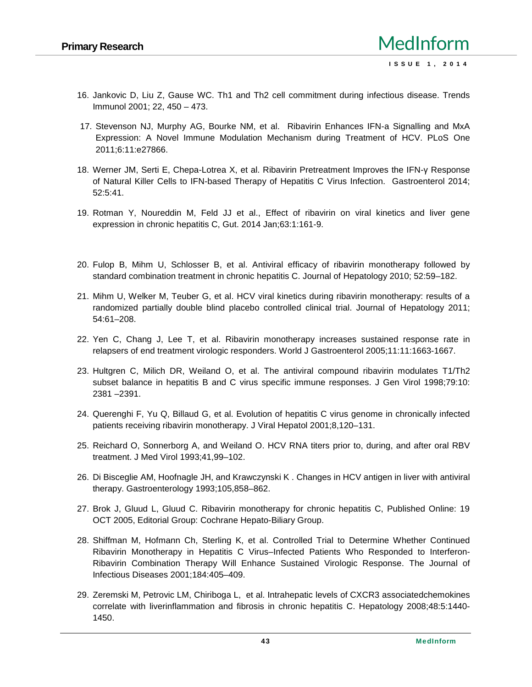- 16. Jankovic D, Liu Z, Gause WC. Th1 and Th2 cell commitment during infectious disease. Trends Immunol 2001; 22, 450 – 473.
- 17. Stevenson NJ, Murphy AG, Bourke NM, et al. Ribavirin Enhances IFN-a Signalling and MxA Expression: A Novel Immune Modulation Mechanism during Treatment of HCV. PLoS One 2011;6:11:e27866.
- 18. Werner JM, Serti E, Chepa-Lotrea X, et al. Ribavirin Pretreatment Improves the IFN-Response of Natural Killer Cells to IFN-based Therapy of Hepatitis C Virus Infection. Gastroenterol 2014; 52:5:41.
- 19. Rotman Y, Noureddin M, Feld JJ et al., Effect of ribavirin on viral kinetics and liver gene expression in chronic hepatitis C, Gut. 2014 Jan;63:1:161-9.
- 20. Fulop B, Mihm U, Schlosser B, et al. Antiviral efficacy of ribavirin monotherapy followed by standard combination treatment in chronic hepatitis C. Journal of Hepatology 2010; 52:59–182.
- 21. Mihm U, Welker M, Teuber G, et al. HCV viral kinetics during ribavirin monotherapy: results of a randomized partially double blind placebo controlled clinical trial. Journal of Hepatology 2011; 54:61–208.
- 22. Yen C, Chang J, Lee T, et al. Ribavirin monotherapy increases sustained response rate in relapsers of end treatment virologic responders. World J Gastroenterol 2005;11:11:1663-1667.
- 23. Hultgren C, Milich DR, Weiland O, et al. The antiviral compound ribavirin modulates T1/Th2 subset balance in hepatitis B and C virus specific immune responses. J Gen Virol 1998;79:10: 2381 –2391.
- 24. Querenghi F, Yu Q, Billaud G, et al. Evolution of hepatitis C virus genome in chronically infected patients receiving ribavirin monotherapy. J Viral Hepatol 2001;8,120–131.
- 25. Reichard O, Sonnerborg A, and Weiland O. HCV RNA titers prior to, during, and after oral RBV treatment. J Med Virol 1993;41,99–102.
- 26. Di Bisceglie AM, Hoofnagle JH, and Krawczynski K . Changes in HCV antigen in liver with antiviral therapy. Gastroenterology 1993;105,858–862.
- 27. Brok J, Gluud L, Gluud C. Ribavirin monotherapy for chronic hepatitis C, Published Online: 19 OCT 2005, Editorial Group: Cochrane Hepato-Biliary Group.
- 28. Shiffman M, Hofmann Ch, Sterling K, et al. Controlled Trial to Determine Whether Continued Ribavirin Monotherapy in Hepatitis C Virus–Infected Patients Who Responded to Interferon- Ribavirin Combination Therapy Will Enhance Sustained Virologic Response. The Journal of Infectious Diseases 2001;184:405–409.
- 29. Zeremski M, Petrovic LM, Chiriboga L, et al. Intrahepatic levels of CXCR3 associatedchemokines correlate with liverinflammation and fibrosis in chronic hepatitis C. Hepatology 2008;48:5:1440- 1450.